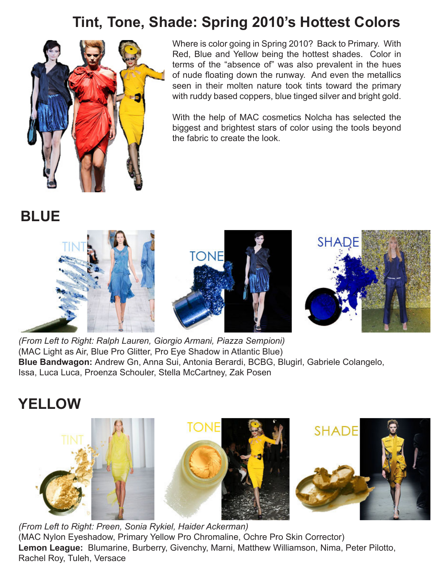## **Tint, Tone, Shade: Spring 2010's Hottest Colors**



Where is color going in Spring 2010? Back to Primary. With Red, Blue and Yellow being the hottest shades. Color in terms of the "absence of" was also prevalent in the hues of nude floating down the runway. And even the metallics seen in their molten nature took tints toward the primary with ruddy based coppers, blue tinged silver and bright gold.

With the help of MAC cosmetics Nolcha has selected the biggest and brightest stars of color using the tools beyond the fabric to create the look.

**BLUE**



*(From Left to Right: Ralph Lauren, Giorgio Armani, Piazza Sempioni)* (MAC Light as Air, Blue Pro Glitter, Pro Eye Shadow in Atlantic Blue) **Blue Bandwagon:** Andrew Gn, Anna Sui, Antonia Berardi, BCBG, Blugirl, Gabriele Colangelo, Issa, Luca Luca, Proenza Schouler, Stella McCartney, Zak Posen

## **YELLOW**



*(From Left to Right: Preen, Sonia Rykiel, Haider Ackerman)* (MAC Nylon Eyeshadow, Primary Yellow Pro Chromaline, Ochre Pro Skin Corrector) **Lemon League:** Blumarine, Burberry, Givenchy, Marni, Matthew Williamson, Nima, Peter Pilotto, Rachel Roy, Tuleh, Versace